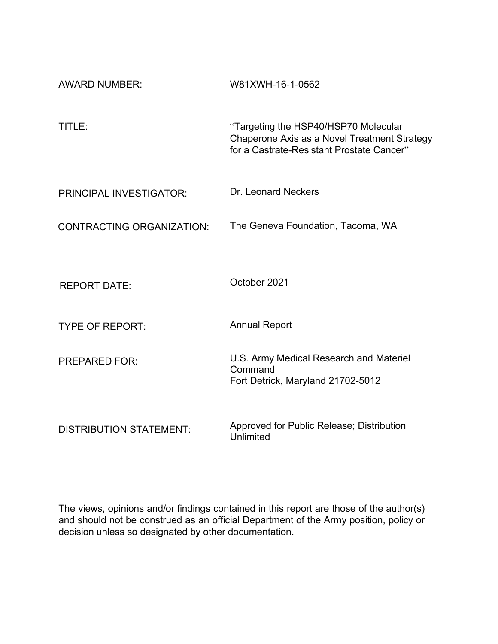| <b>AWARD NUMBER:</b>             | W81XWH-16-1-0562                                                                                                                  |
|----------------------------------|-----------------------------------------------------------------------------------------------------------------------------------|
| TITLE:                           | "Targeting the HSP40/HSP70 Molecular<br>Chaperone Axis as a Novel Treatment Strategy<br>for a Castrate-Resistant Prostate Cancer" |
| PRINCIPAL INVESTIGATOR:          | Dr. Leonard Neckers                                                                                                               |
| <b>CONTRACTING ORGANIZATION:</b> | The Geneva Foundation, Tacoma, WA                                                                                                 |
|                                  |                                                                                                                                   |
| <b>REPORT DATE:</b>              | October 2021                                                                                                                      |
| <b>TYPE OF REPORT:</b>           | <b>Annual Report</b>                                                                                                              |
| <b>PREPARED FOR:</b>             | U.S. Army Medical Research and Materiel<br>Command<br>Fort Detrick, Maryland 21702-5012                                           |
| <b>DISTRIBUTION STATEMENT:</b>   | Approved for Public Release; Distribution<br>Unlimited                                                                            |

The views, opinions and/or findings contained in this report are those of the author(s) and should not be construed as an official Department of the Army position, policy or decision unless so designated by other documentation.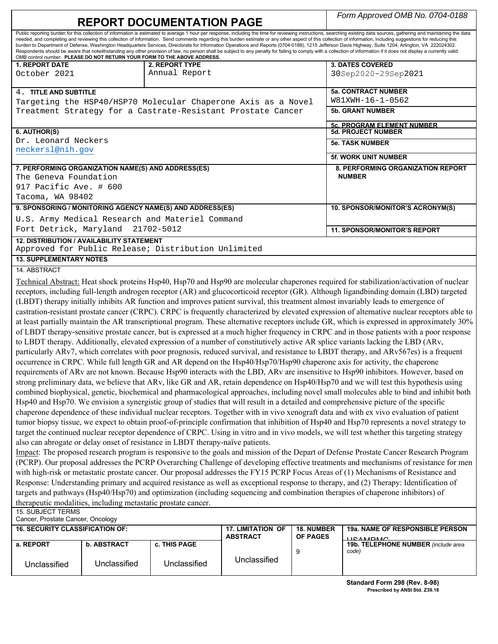| <b>REPORT DOCUMENTATION PAGE</b>                                                                                                                                                                                                                                                 |                                                    |                                                                          |                          |                   | Form Approved OMB No. 0704-0188                                                                                                                                                                                                                                                                                                                                                                                                                |
|----------------------------------------------------------------------------------------------------------------------------------------------------------------------------------------------------------------------------------------------------------------------------------|----------------------------------------------------|--------------------------------------------------------------------------|--------------------------|-------------------|------------------------------------------------------------------------------------------------------------------------------------------------------------------------------------------------------------------------------------------------------------------------------------------------------------------------------------------------------------------------------------------------------------------------------------------------|
|                                                                                                                                                                                                                                                                                  |                                                    |                                                                          |                          |                   | Public reporting burden for this collection of information is estimated to average 1 hour per response, including the time for reviewing instructions, searching existing data sources, gathering and maintaining the data<br>needed, and completing and reviewing this collection of information. Send comments regarding this burden estimate or any other aspect of this collection of information, including suggestions for reducing this |
|                                                                                                                                                                                                                                                                                  |                                                    |                                                                          |                          |                   | burden to Department of Defense, Washington Headquarters Services, Directorate for Information Operations and Reports (0704-0188), 1215 Jefferson Davis Highway, Suite 1204, Arlington, VA 222024302.                                                                                                                                                                                                                                          |
|                                                                                                                                                                                                                                                                                  |                                                    | OMB control number. PLEASE DO NOT RETURN YOUR FORM TO THE ABOVE ADDRESS. |                          |                   | Respondents should be aware that notwithstanding any other provision of law, no person shall be subject to any penalty for failing to comply with a collection of information if it does not display a currently valid                                                                                                                                                                                                                         |
| <b>1. REPORT DATE</b>                                                                                                                                                                                                                                                            |                                                    | 2. REPORT TYPE                                                           |                          |                   | <b>3. DATES COVERED</b>                                                                                                                                                                                                                                                                                                                                                                                                                        |
| October 2021                                                                                                                                                                                                                                                                     |                                                    | Annual Report                                                            |                          |                   | 30Sep2020-29Sep2021                                                                                                                                                                                                                                                                                                                                                                                                                            |
|                                                                                                                                                                                                                                                                                  |                                                    |                                                                          |                          |                   |                                                                                                                                                                                                                                                                                                                                                                                                                                                |
| 4. TITLE AND SUBTITLE                                                                                                                                                                                                                                                            |                                                    |                                                                          |                          |                   | <b>5a. CONTRACT NUMBER</b>                                                                                                                                                                                                                                                                                                                                                                                                                     |
|                                                                                                                                                                                                                                                                                  |                                                    | Targeting the HSP40/HSP70 Molecular Chaperone Axis as a Novel            |                          |                   | W81XWH-16-1-0562                                                                                                                                                                                                                                                                                                                                                                                                                               |
|                                                                                                                                                                                                                                                                                  |                                                    | Treatment Strategy for a Castrate-Resistant Prostate Cancer              |                          |                   | <b>5b. GRANT NUMBER</b>                                                                                                                                                                                                                                                                                                                                                                                                                        |
|                                                                                                                                                                                                                                                                                  |                                                    |                                                                          |                          |                   | <b>5c. PROGRAM ELEMENT NUMBER</b>                                                                                                                                                                                                                                                                                                                                                                                                              |
| 6. AUTHOR(S)                                                                                                                                                                                                                                                                     |                                                    |                                                                          |                          |                   | <b>5d. PROJECT NUMBER</b>                                                                                                                                                                                                                                                                                                                                                                                                                      |
| Dr. Leonard Neckers                                                                                                                                                                                                                                                              |                                                    |                                                                          |                          |                   | <b>5e. TASK NUMBER</b>                                                                                                                                                                                                                                                                                                                                                                                                                         |
| neckersl@nih.gov                                                                                                                                                                                                                                                                 |                                                    |                                                                          |                          |                   | <b>5f. WORK UNIT NUMBER</b>                                                                                                                                                                                                                                                                                                                                                                                                                    |
|                                                                                                                                                                                                                                                                                  | 7. PERFORMING ORGANIZATION NAME(S) AND ADDRESS(ES) |                                                                          |                          |                   | 8. PERFORMING ORGANIZATION REPORT                                                                                                                                                                                                                                                                                                                                                                                                              |
| The Geneva Foundation                                                                                                                                                                                                                                                            |                                                    |                                                                          |                          |                   | <b>NUMBER</b>                                                                                                                                                                                                                                                                                                                                                                                                                                  |
| 917 Pacific Ave. # 600                                                                                                                                                                                                                                                           |                                                    |                                                                          |                          |                   |                                                                                                                                                                                                                                                                                                                                                                                                                                                |
| Tacoma, WA 98402                                                                                                                                                                                                                                                                 |                                                    |                                                                          |                          |                   |                                                                                                                                                                                                                                                                                                                                                                                                                                                |
|                                                                                                                                                                                                                                                                                  |                                                    |                                                                          |                          |                   |                                                                                                                                                                                                                                                                                                                                                                                                                                                |
|                                                                                                                                                                                                                                                                                  |                                                    | 9. SPONSORING / MONITORING AGENCY NAME(S) AND ADDRESS(ES)                |                          |                   | 10. SPONSOR/MONITOR'S ACRONYM(S)                                                                                                                                                                                                                                                                                                                                                                                                               |
|                                                                                                                                                                                                                                                                                  |                                                    | U.S. Army Medical Research and Materiel Command                          |                          |                   |                                                                                                                                                                                                                                                                                                                                                                                                                                                |
|                                                                                                                                                                                                                                                                                  | Fort Detrick, Maryland 21702-5012                  |                                                                          |                          |                   | <b>11. SPONSOR/MONITOR'S REPORT</b>                                                                                                                                                                                                                                                                                                                                                                                                            |
|                                                                                                                                                                                                                                                                                  | 12. DISTRIBUTION / AVAILABILITY STATEMENT          | Approved for Public Release; Distribution Unlimited                      |                          |                   |                                                                                                                                                                                                                                                                                                                                                                                                                                                |
| <b>13. SUPPLEMENTARY NOTES</b>                                                                                                                                                                                                                                                   |                                                    |                                                                          |                          |                   |                                                                                                                                                                                                                                                                                                                                                                                                                                                |
|                                                                                                                                                                                                                                                                                  |                                                    |                                                                          |                          |                   |                                                                                                                                                                                                                                                                                                                                                                                                                                                |
| 14. ABSTRACT                                                                                                                                                                                                                                                                     |                                                    |                                                                          |                          |                   |                                                                                                                                                                                                                                                                                                                                                                                                                                                |
|                                                                                                                                                                                                                                                                                  |                                                    |                                                                          |                          |                   | Technical Abstract: Heat shock proteins Hsp40, Hsp70 and Hsp90 are molecular chaperones required for stabilization/activation of nuclear                                                                                                                                                                                                                                                                                                       |
|                                                                                                                                                                                                                                                                                  |                                                    |                                                                          |                          |                   | receptors, including full-length androgen receptor (AR) and glucocorticoid receptor (GR). Although ligandbinding domain (LBD) targeted                                                                                                                                                                                                                                                                                                         |
|                                                                                                                                                                                                                                                                                  |                                                    |                                                                          |                          |                   | (LBDT) therapy initially inhibits AR function and improves patient survival, this treatment almost invariably leads to emergence of                                                                                                                                                                                                                                                                                                            |
|                                                                                                                                                                                                                                                                                  |                                                    |                                                                          |                          |                   | castration-resistant prostate cancer (CRPC). CRPC is frequently characterized by elevated expression of alternative nuclear receptors able to                                                                                                                                                                                                                                                                                                  |
|                                                                                                                                                                                                                                                                                  |                                                    |                                                                          |                          |                   | at least partially maintain the AR transcriptional program. These alternative receptors include GR, which is expressed in approximately 30%                                                                                                                                                                                                                                                                                                    |
|                                                                                                                                                                                                                                                                                  |                                                    |                                                                          |                          |                   | of LBDT therapy-sensitive prostate cancer, but is expressed at a much higher frequency in CRPC and in those patients with a poor response                                                                                                                                                                                                                                                                                                      |
|                                                                                                                                                                                                                                                                                  |                                                    |                                                                          |                          |                   | to LBDT therapy. Additionally, elevated expression of a number of constitutively active AR splice variants lacking the LBD (ARv,                                                                                                                                                                                                                                                                                                               |
|                                                                                                                                                                                                                                                                                  |                                                    |                                                                          |                          |                   | particularly ARv7, which correlates with poor prognosis, reduced survival, and resistance to LBDT therapy, and ARv567es) is a frequent                                                                                                                                                                                                                                                                                                         |
|                                                                                                                                                                                                                                                                                  |                                                    |                                                                          |                          |                   | occurrence in CRPC. While full length GR and AR depend on the Hsp40/Hsp70/Hsp90 chaperone axis for activity, the chaperone                                                                                                                                                                                                                                                                                                                     |
|                                                                                                                                                                                                                                                                                  |                                                    |                                                                          |                          |                   | requirements of ARv are not known. Because Hsp90 interacts with the LBD, ARv are insensitive to Hsp90 inhibitors. However, based on                                                                                                                                                                                                                                                                                                            |
|                                                                                                                                                                                                                                                                                  |                                                    |                                                                          |                          |                   | strong preliminary data, we believe that ARv, like GR and AR, retain dependence on Hsp40/Hsp70 and we will test this hypothesis using                                                                                                                                                                                                                                                                                                          |
|                                                                                                                                                                                                                                                                                  |                                                    |                                                                          |                          |                   |                                                                                                                                                                                                                                                                                                                                                                                                                                                |
| combined biophysical, genetic, biochemical and pharmacological approaches, including novel small molecules able to bind and inhibit both<br>Hsp40 and Hsp70. We envision a synergistic group of studies that will result in a detailed and comprehensive picture of the specific |                                                    |                                                                          |                          |                   |                                                                                                                                                                                                                                                                                                                                                                                                                                                |
| chaperone dependence of these individual nuclear receptors. Together with in vivo xenograft data and with ex vivo evaluation of patient                                                                                                                                          |                                                    |                                                                          |                          |                   |                                                                                                                                                                                                                                                                                                                                                                                                                                                |
| tumor biopsy tissue, we expect to obtain proof-of-principle confirmation that inhibition of Hsp40 and Hsp70 represents a novel strategy to                                                                                                                                       |                                                    |                                                                          |                          |                   |                                                                                                                                                                                                                                                                                                                                                                                                                                                |
|                                                                                                                                                                                                                                                                                  |                                                    |                                                                          |                          |                   | target the continued nuclear receptor dependence of CRPC. Using in vitro and in vivo models, we will test whether this targeting strategy                                                                                                                                                                                                                                                                                                      |
|                                                                                                                                                                                                                                                                                  |                                                    |                                                                          |                          |                   |                                                                                                                                                                                                                                                                                                                                                                                                                                                |
| also can abrogate or delay onset of resistance in LBDT therapy-naïve patients.                                                                                                                                                                                                   |                                                    |                                                                          |                          |                   |                                                                                                                                                                                                                                                                                                                                                                                                                                                |
| Impact: The proposed research program is responsive to the goals and mission of the Depart of Defense Prostate Cancer Research Program                                                                                                                                           |                                                    |                                                                          |                          |                   |                                                                                                                                                                                                                                                                                                                                                                                                                                                |
| (PCRP). Our proposal addresses the PCRP Overarching Challenge of developing effective treatments and mechanisms of resistance for men                                                                                                                                            |                                                    |                                                                          |                          |                   |                                                                                                                                                                                                                                                                                                                                                                                                                                                |
| with high-risk or metastatic prostate cancer. Our proposal addresses the FY15 PCRP Focus Areas of (1) Mechanisms of Resistance and                                                                                                                                               |                                                    |                                                                          |                          |                   |                                                                                                                                                                                                                                                                                                                                                                                                                                                |
| Response: Understanding primary and acquired resistance as well as exceptional response to therapy, and (2) Therapy: Identification of                                                                                                                                           |                                                    |                                                                          |                          |                   |                                                                                                                                                                                                                                                                                                                                                                                                                                                |
| targets and pathways (Hsp40/Hsp70) and optimization (including sequencing and combination therapies of chaperone inhibitors) of                                                                                                                                                  |                                                    |                                                                          |                          |                   |                                                                                                                                                                                                                                                                                                                                                                                                                                                |
| therapeutic modalities, including metastatic prostate cancer.                                                                                                                                                                                                                    |                                                    |                                                                          |                          |                   |                                                                                                                                                                                                                                                                                                                                                                                                                                                |
| <b>15. SUBJECT TERMS</b><br>Cancer, Prostate Cancer, Oncology                                                                                                                                                                                                                    |                                                    |                                                                          |                          |                   |                                                                                                                                                                                                                                                                                                                                                                                                                                                |
| <b>16. SECURITY CLASSIFICATION OF:</b>                                                                                                                                                                                                                                           |                                                    |                                                                          | <b>17. LIMITATION OF</b> | <b>18. NUMBER</b> | 19a. NAME OF RESPONSIBLE PERSON                                                                                                                                                                                                                                                                                                                                                                                                                |
|                                                                                                                                                                                                                                                                                  |                                                    |                                                                          | <b>ABSTRACT</b>          | OF PAGES          | <b>LICAMDMC</b>                                                                                                                                                                                                                                                                                                                                                                                                                                |
| a. REPORT                                                                                                                                                                                                                                                                        | b. ABSTRACT                                        | c. THIS PAGE                                                             |                          | 9                 | 19b. TELEPHONE NUMBER (include area<br>code)                                                                                                                                                                                                                                                                                                                                                                                                   |

Unclassified

Unclassified

Unclassified

Unclassified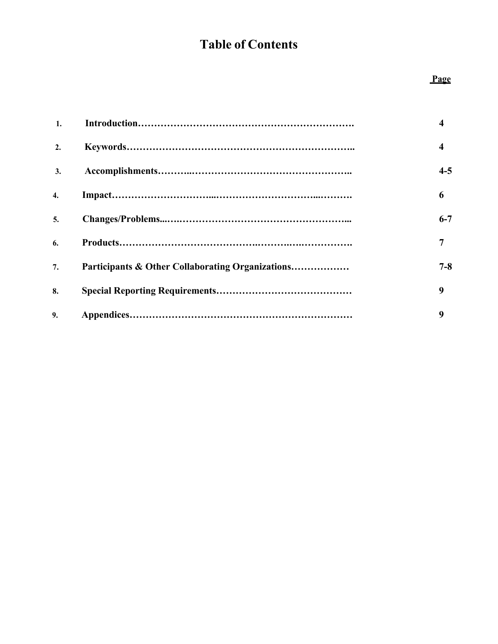# **Table of Contents**

## **Page**

| 1.               |                                                  | $\boldsymbol{4}$ |
|------------------|--------------------------------------------------|------------------|
| 2.               |                                                  | $\boldsymbol{4}$ |
| 3.               |                                                  | $4 - 5$          |
| $\overline{4}$ . |                                                  | 6                |
| $\mathbf{5}$ .   |                                                  | $6 - 7$          |
| 6.               |                                                  | 7                |
| 7.               | Participants & Other Collaborating Organizations | $7 - 8$          |
| 8.               |                                                  | 9                |
| 9.               |                                                  | 9                |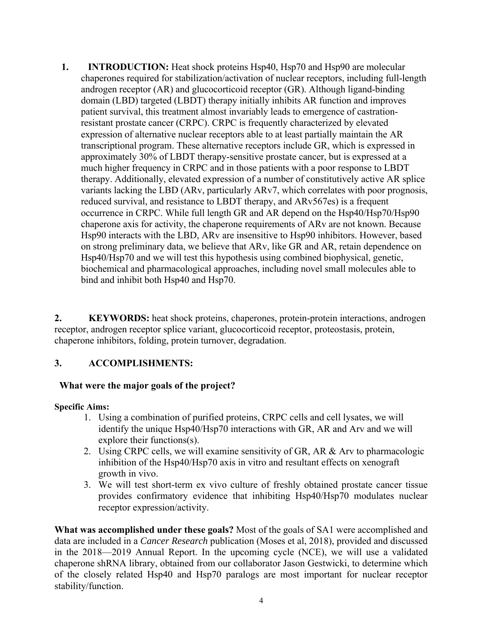**1. INTRODUCTION:** Heat shock proteins Hsp40, Hsp70 and Hsp90 are molecular chaperones required for stabilization/activation of nuclear receptors, including full-length androgen receptor (AR) and glucocorticoid receptor (GR). Although ligand-binding domain (LBD) targeted (LBDT) therapy initially inhibits AR function and improves patient survival, this treatment almost invariably leads to emergence of castrationresistant prostate cancer (CRPC). CRPC is frequently characterized by elevated expression of alternative nuclear receptors able to at least partially maintain the AR transcriptional program. These alternative receptors include GR, which is expressed in approximately 30% of LBDT therapy-sensitive prostate cancer, but is expressed at a much higher frequency in CRPC and in those patients with a poor response to LBDT therapy. Additionally, elevated expression of a number of constitutively active AR splice variants lacking the LBD (ARv, particularly ARv7, which correlates with poor prognosis, reduced survival, and resistance to LBDT therapy, and ARv567es) is a frequent occurrence in CRPC. While full length GR and AR depend on the Hsp40/Hsp70/Hsp90 chaperone axis for activity, the chaperone requirements of ARv are not known. Because Hsp90 interacts with the LBD, ARv are insensitive to Hsp90 inhibitors. However, based on strong preliminary data, we believe that ARv, like GR and AR, retain dependence on Hsp40/Hsp70 and we will test this hypothesis using combined biophysical, genetic, biochemical and pharmacological approaches, including novel small molecules able to bind and inhibit both Hsp40 and Hsp70.

**2. KEYWORDS:** heat shock proteins, chaperones, protein-protein interactions, androgen receptor, androgen receptor splice variant, glucocorticoid receptor, proteostasis, protein, chaperone inhibitors, folding, protein turnover, degradation.

## **3. ACCOMPLISHMENTS:**

#### **What were the major goals of the project?**

#### **Specific Aims:**

- 1. Using a combination of purified proteins, CRPC cells and cell lysates, we will identify the unique Hsp40/Hsp70 interactions with GR, AR and Arv and we will explore their functions(s).
- 2. Using CRPC cells, we will examine sensitivity of GR, AR & Arv to pharmacologic inhibition of the Hsp40/Hsp70 axis in vitro and resultant effects on xenograft growth in vivo.
- 3. We will test short-term ex vivo culture of freshly obtained prostate cancer tissue provides confirmatory evidence that inhibiting Hsp40/Hsp70 modulates nuclear receptor expression/activity.

**What was accomplished under these goals?** Most of the goals of SA1 were accomplished and data are included in a *Cancer Research* publication (Moses et al, 2018), provided and discussed in the 2018—2019 Annual Report. In the upcoming cycle (NCE), we will use a validated chaperone shRNA library, obtained from our collaborator Jason Gestwicki, to determine which of the closely related Hsp40 and Hsp70 paralogs are most important for nuclear receptor stability/function.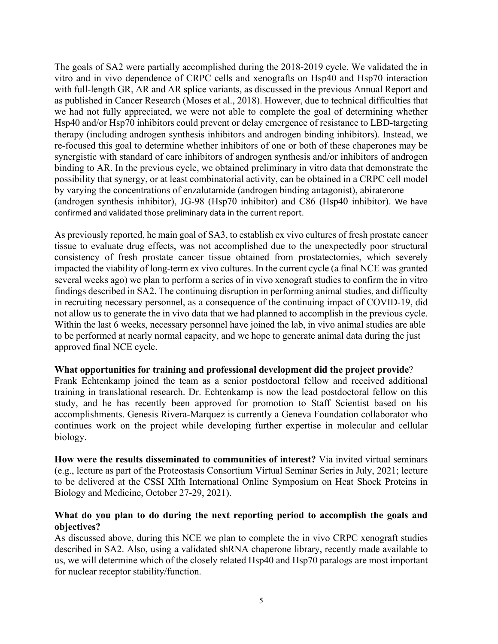The goals of SA2 were partially accomplished during the 2018-2019 cycle. We validated the in vitro and in vivo dependence of CRPC cells and xenografts on Hsp40 and Hsp70 interaction with full-length GR, AR and AR splice variants, as discussed in the previous Annual Report and as published in Cancer Research (Moses et al., 2018). However, due to technical difficulties that we had not fully appreciated, we were not able to complete the goal of determining whether Hsp40 and/or Hsp70 inhibitors could prevent or delay emergence of resistance to LBD-targeting therapy (including androgen synthesis inhibitors and androgen binding inhibitors). Instead, we re-focused this goal to determine whether inhibitors of one or both of these chaperones may be synergistic with standard of care inhibitors of androgen synthesis and/or inhibitors of androgen binding to AR. In the previous cycle, we obtained preliminary in vitro data that demonstrate the possibility that synergy, or at least combinatorial activity, can be obtained in a CRPC cell model by varying the concentrations of enzalutamide (androgen binding antagonist), abiraterone (androgen synthesis inhibitor), JG-98 (Hsp70 inhibitor) and C86 (Hsp40 inhibitor). We have confirmed and validated those preliminary data in the current report.

As previously reported, he main goal of SA3, to establish ex vivo cultures of fresh prostate cancer tissue to evaluate drug effects, was not accomplished due to the unexpectedly poor structural consistency of fresh prostate cancer tissue obtained from prostatectomies, which severely impacted the viability of long-term ex vivo cultures. In the current cycle (a final NCE was granted several weeks ago) we plan to perform a series of in vivo xenograft studies to confirm the in vitro findings described in SA2. The continuing disruption in performing animal studies, and difficulty in recruiting necessary personnel, as a consequence of the continuing impact of COVID-19, did not allow us to generate the in vivo data that we had planned to accomplish in the previous cycle. Within the last 6 weeks, necessary personnel have joined the lab, in vivo animal studies are able to be performed at nearly normal capacity, and we hope to generate animal data during the just approved final NCE cycle.

#### **What opportunities for training and professional development did the project provide**?

Frank Echtenkamp joined the team as a senior postdoctoral fellow and received additional training in translational research. Dr. Echtenkamp is now the lead postdoctoral fellow on this study, and he has recently been approved for promotion to Staff Scientist based on his accomplishments. Genesis Rivera-Marquez is currently a Geneva Foundation collaborator who continues work on the project while developing further expertise in molecular and cellular biology.

**How were the results disseminated to communities of interest?** Via invited virtual seminars (e.g., lecture as part of the Proteostasis Consortium Virtual Seminar Series in July, 2021; lecture to be delivered at the CSSI XIth International Online Symposium on Heat Shock Proteins in Biology and Medicine, October 27-29, 2021).

#### **What do you plan to do during the next reporting period to accomplish the goals and objectives?**

As discussed above, during this NCE we plan to complete the in vivo CRPC xenograft studies described in SA2. Also, using a validated shRNA chaperone library, recently made available to us, we will determine which of the closely related Hsp40 and Hsp70 paralogs are most important for nuclear receptor stability/function.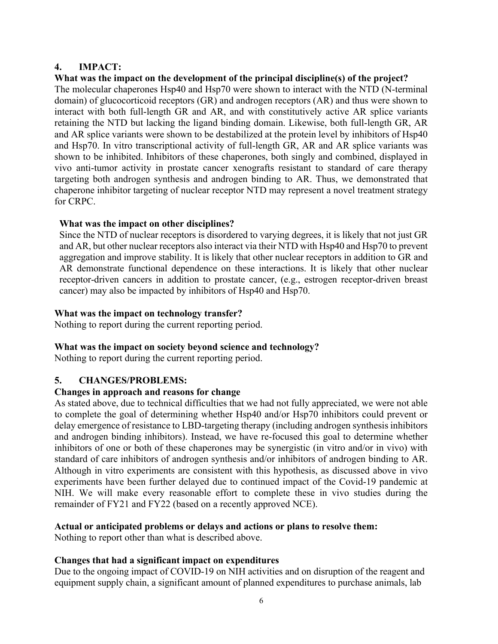## **4. IMPACT:**

## **What was the impact on the development of the principal discipline(s) of the project?**

The molecular chaperones Hsp40 and Hsp70 were shown to interact with the NTD (N-terminal domain) of glucocorticoid receptors (GR) and androgen receptors (AR) and thus were shown to interact with both full-length GR and AR, and with constitutively active AR splice variants retaining the NTD but lacking the ligand binding domain. Likewise, both full-length GR, AR and AR splice variants were shown to be destabilized at the protein level by inhibitors of Hsp40 and Hsp70. In vitro transcriptional activity of full-length GR, AR and AR splice variants was shown to be inhibited. Inhibitors of these chaperones, both singly and combined, displayed in vivo anti-tumor activity in prostate cancer xenografts resistant to standard of care therapy targeting both androgen synthesis and androgen binding to AR. Thus, we demonstrated that chaperone inhibitor targeting of nuclear receptor NTD may represent a novel treatment strategy for CRPC.

## **What was the impact on other disciplines?**

Since the NTD of nuclear receptors is disordered to varying degrees, it is likely that not just GR and AR, but other nuclear receptors also interact via their NTD with Hsp40 and Hsp70 to prevent aggregation and improve stability. It is likely that other nuclear receptors in addition to GR and AR demonstrate functional dependence on these interactions. It is likely that other nuclear receptor-driven cancers in addition to prostate cancer, (e.g., estrogen receptor-driven breast cancer) may also be impacted by inhibitors of Hsp40 and Hsp70.

#### **What was the impact on technology transfer?**

Nothing to report during the current reporting period.

## **What was the impact on society beyond science and technology?**

Nothing to report during the current reporting period.

## **5. CHANGES/PROBLEMS:**

## **Changes in approach and reasons for change**

As stated above, due to technical difficulties that we had not fully appreciated, we were not able to complete the goal of determining whether Hsp40 and/or Hsp70 inhibitors could prevent or delay emergence of resistance to LBD-targeting therapy (including androgen synthesis inhibitors and androgen binding inhibitors). Instead, we have re-focused this goal to determine whether inhibitors of one or both of these chaperones may be synergistic (in vitro and/or in vivo) with standard of care inhibitors of androgen synthesis and/or inhibitors of androgen binding to AR. Although in vitro experiments are consistent with this hypothesis, as discussed above in vivo experiments have been further delayed due to continued impact of the Covid-19 pandemic at NIH. We will make every reasonable effort to complete these in vivo studies during the remainder of FY21 and FY22 (based on a recently approved NCE).

## **Actual or anticipated problems or delays and actions or plans to resolve them:**

Nothing to report other than what is described above.

## **Changes that had a significant impact on expenditures**

Due to the ongoing impact of COVID-19 on NIH activities and on disruption of the reagent and equipment supply chain, a significant amount of planned expenditures to purchase animals, lab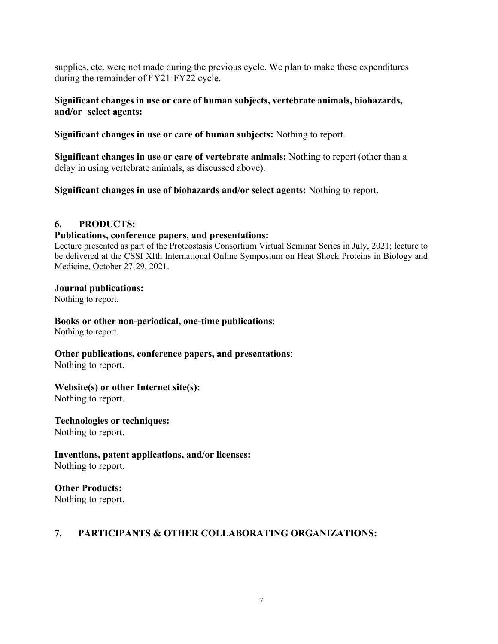supplies, etc. were not made during the previous cycle. We plan to make these expenditures during the remainder of FY21-FY22 cycle.

#### **Significant changes in use or care of human subjects, vertebrate animals, biohazards, and/or select agents:**

**Significant changes in use or care of human subjects:** Nothing to report.

**Significant changes in use or care of vertebrate animals:** Nothing to report (other than a delay in using vertebrate animals, as discussed above).

**Significant changes in use of biohazards and/or select agents:** Nothing to report.

#### **6. PRODUCTS:**

#### **Publications, conference papers, and presentations:**

Lecture presented as part of the Proteostasis Consortium Virtual Seminar Series in July, 2021; lecture to be delivered at the CSSI XIth International Online Symposium on Heat Shock Proteins in Biology and Medicine, October 27-29, 2021.

#### **Journal publications:**

Nothing to report.

# **Books or other non-periodical, one-time publications**:

Nothing to report.

# **Other publications, conference papers, and presentations**:

Nothing to report.

#### **Website(s) or other Internet site(s):**

Nothing to report.

**Technologies or techniques:** Nothing to report.

**Inventions, patent applications, and/or licenses:** Nothing to report.

## **Other Products:**

Nothing to report.

## **7. PARTICIPANTS & OTHER COLLABORATING ORGANIZATIONS:**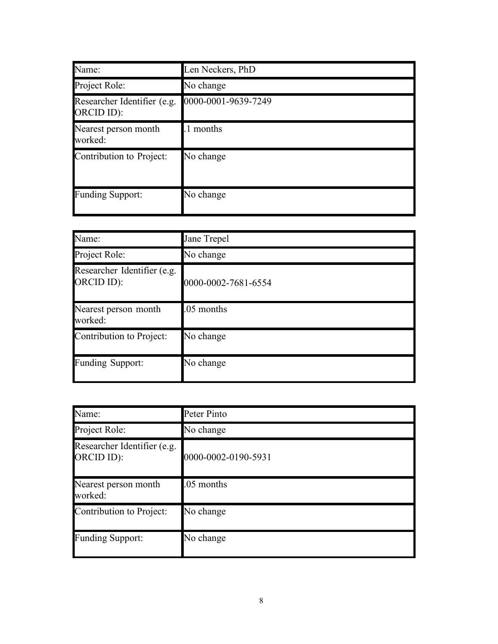| Name:                                     | Len Neckers, PhD    |
|-------------------------------------------|---------------------|
| Project Role:                             | No change           |
| Researcher Identifier (e.g.<br>ORCID ID): | 0000-0001-9639-7249 |
| Nearest person month<br>worked:           | 1 months            |
| Contribution to Project:                  | No change           |
| <b>Funding Support:</b>                   | No change           |

| Name:                                     | Jane Trepel         |
|-------------------------------------------|---------------------|
| Project Role:                             | No change           |
| Researcher Identifier (e.g.<br>ORCID ID): | 0000-0002-7681-6554 |
| Nearest person month<br>worked:           | .05 months          |
| Contribution to Project:                  | No change           |
| Funding Support:                          | No change           |

| Name:                                     | Peter Pinto         |
|-------------------------------------------|---------------------|
| Project Role:                             | No change           |
| Researcher Identifier (e.g.<br>ORCID ID): | 0000-0002-0190-5931 |
| Nearest person month<br>worked:           | .05 months          |
| Contribution to Project:                  | No change           |
| <b>Funding Support:</b>                   | No change           |